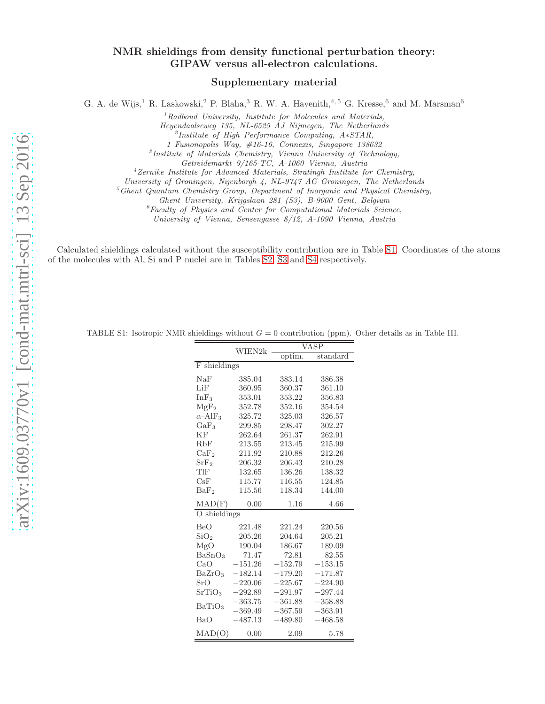## NMR shieldings from density functional perturbation theory: GIPAW versus all-electron calculations.

### Supplementary material

G. A. de Wijs,<sup>1</sup> R. Laskowski,<sup>2</sup> P. Blaha,<sup>3</sup> R. W. A. Havenith,<sup>4,5</sup> G. Kresse,<sup>6</sup> and M. Marsman<sup>6</sup>

 ${}^{1}$ Radboud University, Institute for Molecules and Materials,

Heyendaalseweg 135, NL-6525 AJ Nijmegen, The Netherlands

2 Institute of High Performance Computing, A∗STAR,

1 Fusionopolis Way, #16-16, Connexis, Singapore 138632

3 Institute of Materials Chemistry, Vienna University of Technology,

Getreidemarkt 9/165-TC, A-1060 Vienna, Austria

<sup>4</sup>Zernike Institute for Advanced Materials, Stratingh Institute for Chemistry,

University of Groningen, Nijenborgh 4, NL-9747 AG Groningen, The Netherlands

 ${}^5G$ hent Quantum Chemistry Group, Department of Inorganic and Physical Chemistry,

Ghent University, Krijgslaan 281 (S3), B-9000 Gent, Belgium

 ${}^6$ Faculty of Physics and Center for Computational Materials Science,

University of Vienna, Sensengasse 8/12, A-1090 Vienna, Austria

Calculated shieldings calculated without the susceptibility contribution are in Table [S1.](#page-8-0) Coordinates of the atoms of the molecules with Al, Si and P nuclei are in Tables [S2,](#page-9-0) [S3](#page-12-0) and [S4](#page-13-0) respectively.

| TABLE S1: Isotropic NMR shieldings without $G = 0$ contribution (ppm). Other details as in Table III. |  |        |                                    |  |  |  |
|-------------------------------------------------------------------------------------------------------|--|--------|------------------------------------|--|--|--|
|                                                                                                       |  |        | VASP<br>$WIER2k$ $\longrightarrow$ |  |  |  |
|                                                                                                       |  | optim. | standard                           |  |  |  |

|                            | WIEN2k    |           |           |
|----------------------------|-----------|-----------|-----------|
|                            |           | optim.    | standard  |
| F shieldings               |           |           |           |
| NaF                        | 385.04    | 383.14    | 386.38    |
| LiF                        | 360.95    | 360.37    | 361.10    |
| InF <sub>3</sub>           | 353.01    | 353.22    | 356.83    |
| MgF <sub>2</sub>           | 352.78    | 352.16    | 354.54    |
| $\alpha$ -AlF <sub>3</sub> | 325.72    | 325.03    | 326.57    |
| $GaF_3$                    | 299.85    | 298.47    | 302.27    |
| ΚF                         | 262.64    | 261.37    | 262.91    |
| RbF                        | 213.55    | 213.45    | 215.99    |
| CaF <sub>2</sub>           | 211.92    | 210.88    | 212.26    |
| SrF <sub>2</sub>           | 206.32    | 206.43    | 210.28    |
| TlF                        | 132.65    | 136.26    | 138.32    |
| CsF                        | 115.77    | 116.55    | 124.85    |
| BaF <sub>2</sub>           | 115.56    | 118.34    | 144.00    |
| MAD(F)                     | 0.00      | 1.16      | 4.66      |
| O shieldings               |           |           |           |
| <b>BeO</b>                 | 221.48    | 221.24    | 220.56    |
| SiO <sub>2</sub>           | 205.26    | 204.64    | 205.21    |
| MgO                        | 190.04    | 186.67    | 189.09    |
| BaSnO <sub>3</sub>         | 71.47     | 72.81     | 82.55     |
| CaO                        | $-151.26$ | $-152.79$ | $-153.15$ |
| BaZrO <sub>3</sub>         | $-182.14$ | $-179.20$ | $-171.87$ |
| SrO                        | $-220.06$ | $-225.67$ | $-224.90$ |
| SrTiO <sub>3</sub>         | $-292.89$ | $-291.97$ | $-297.44$ |
| BaTiO <sub>3</sub>         | $-363.75$ | $-361.88$ | $-358.88$ |
|                            | $-369.49$ | $-367.59$ | $-363.91$ |
| BaO                        | $-487.13$ | $-489.80$ | $-468.58$ |
| $\text{MAD}(\text{O})$     | 0.00      | 2.09      | 5.78      |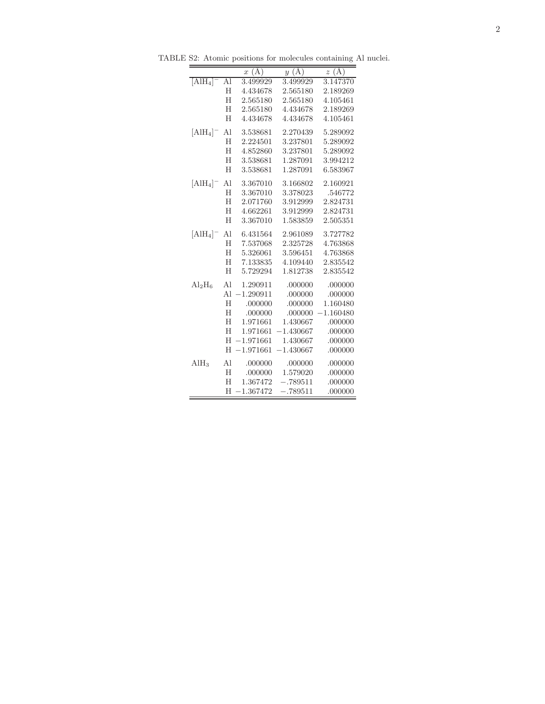TABLE S2: Atomic positions for molecules containing Al nuclei.

|                        |    | x(A)        | y(A)        | z(A)        |
|------------------------|----|-------------|-------------|-------------|
| $[AlH_4]$ <sup>-</sup> | Al | 3.499929    | 3.499929    | 3.147370    |
|                        | H  | 4.434678    | 2.565180    | 2.189269    |
|                        | H  | 2.565180    | 2.565180    | 4.105461    |
|                        | H  | 2.565180    | 4.434678    | 2.189269    |
|                        | H  | 4.434678    | 4.434678    | 4.105461    |
| $[\text{AlH}_4]^-$     | Al | 3.538681    | 2.270439    | 5.289092    |
|                        | H  | 2.224501    | 3.237801    | 5.289092    |
|                        | H  | 4.852860    | 3.237801    | 5.289092    |
|                        | H  | 3.538681    | 1.287091    | 3.994212    |
|                        | H  | 3.538681    | 1.287091    | 6.583967    |
| $[AlH_4]^-$            | Al | 3.367010    | 3.166802    | 2.160921    |
|                        | H  | 3.367010    | 3.378023    | .546772     |
|                        | H  | 2.071760    | 3.912999    | 2.824731    |
|                        | H  | 4.662261    | 3.912999    | 2.824731    |
|                        | H  | 3.367010    | 1.583859    | 2.505351    |
| $[\text{AlH}_4]^-$     | Al | 6.431564    | 2.961089    | 3.727782    |
|                        | H  | 7.537068    | 2.325728    | 4.763868    |
|                        | H  | 5.326061    | 3.596451    | 4.763868    |
|                        | H  | 7.133835    | 4.109440    | 2.835542    |
|                        | H  | 5.729294    | 1.812738    | 2.835542    |
| $\rm Al_2H_6$          | Al | 1.290911    | .000000     | .000000     |
|                        | Al | $-1.290911$ | .000000     | .000000     |
|                        | H  | .000000     | .000000     | 1.160480    |
|                        | H  | .000000     | .000000     | $-1.160480$ |
|                        | H  | 1.971661    | 1.430667    | .000000     |
|                        | H  | 1.971661    | $-1.430667$ | .000000     |
|                        | H  | $-1.971661$ | 1.430667    | .000000     |
|                        | H  | $-1.971661$ | $-1.430667$ | .000000     |
| $\text{AlH}_3$         | Al | .000000     | .000000     | .000000     |
|                        | H  | .000000     | 1.579020    | .000000     |
|                        | H  | 1.367472    | $-.789511$  | .000000     |
|                        | H  | $-1.367472$ | $-.789511$  | .000000     |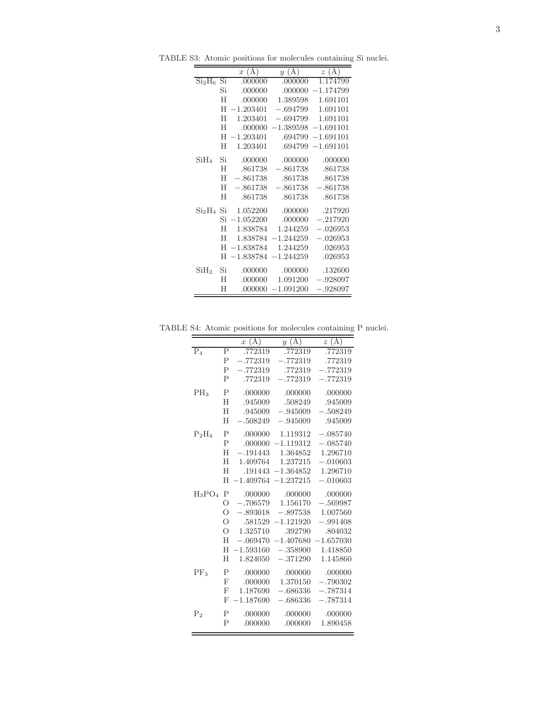TABLE S3: Atomic positions for molecules containing Si nuclei.

|                                   |    | $x(\AA)$    | y(A)        | $z(\AA)$               |
|-----------------------------------|----|-------------|-------------|------------------------|
| Si <sub>2</sub> H <sub>6</sub> Si |    | .000000     | .000000     | 1.174799               |
|                                   | Si | .000000     | .000000     | $-1.174799$            |
|                                   | H  | .000000     | 1.389598    | 1.691101               |
|                                   | H  | $-1.203401$ | $-.694799$  | 1.691101               |
|                                   | H  | 1.203401    |             | $-.694799$ 1.691101    |
|                                   | H  | .000000     |             | $-1.389598 - 1.691101$ |
|                                   | H  | $-1.203401$ | .694799     | $-1.691101$            |
|                                   | H  | 1.203401    | .694799     | $-1.691101$            |
| SiH <sub>4</sub>                  | Si | .000000     | .000000     | .000000                |
|                                   | H  | .861738     | $-.861738$  | .861738                |
|                                   | H  | $-.861738$  | .861738     | .861738                |
|                                   | H  | $-.861738$  | $-.861738$  | $-.861738$             |
|                                   | H  | .861738     | .861738     | .861738                |
| Si <sub>2</sub> H <sub>4</sub> Si |    | 1.052200    | .000000     | .217920                |
|                                   | Si | $-1.052200$ | .000000     | $-.217920$             |
|                                   | H  | 1.838784    | 1.244259    | $-.026953$             |
|                                   | H  | 1.838784    | $-1.244259$ | $-.026953$             |
|                                   | H  | $-1.838784$ | 1.244259    | .026953                |
|                                   | H  | $-1.838784$ | $-1.244259$ | .026953                |
| SiH <sub>2</sub>                  | Si | .000000     | .000000     | .132600                |
|                                   | H  | .000000     | 1.091200    | $-.928097$             |
|                                   | Η  | .000000     | $-1.091200$ | $-.928097$             |

TABLE S4: Atomic positions for molecules containing P nuclei.

|                  |                | x(A)        | $y(\mathbf{A})$      | $\overline{z(A)}$ |
|------------------|----------------|-------------|----------------------|-------------------|
| $\overline{P_4}$ | P              | .772319     | .772319              | .772319           |
|                  | $\mathsf{P}$   | $-.772319$  | $-.772319$           | .772319           |
|                  | Ρ              | $-.772319$  | .772319              | $-.772319$        |
|                  | $\mathbf{P}$   | .772319     | $-.772319$           | $-.772319$        |
| $PH_3$           | $\mathbf P$    | .000000     | .000000              | .000000           |
|                  | H              | .945009     | .508249              | .945009           |
|                  | H              | .945009     | $-.945009$           | $-.508249$        |
|                  | H              | $-.508249$  | $-.945009$           | .945009           |
| $P_2H_4$         | $\mathsf{P}$   | .000000     | 1.119312             | $-.085740$        |
|                  | $\mathbf{P}$   | .000000     | $-1.119312$          | $-.085740$        |
|                  | H              | $-.191443$  | 1.364852             | 1.296710          |
|                  | H              | 1.409764    | 1.237215             | $-.010603$        |
|                  | H              | .191443     | $-1.364852$          | 1.296710          |
|                  | H              | $-1.409764$ | $-1.237215$          | $-.010603$        |
| $H_3PO_4$        | Ρ              | .000000     | .000000              | .000000           |
|                  | $\Omega$       | $-.706579$  | 1.156170             | $-.569987$        |
|                  | О              | $-.893018$  | $-.897538$           | 1.007560          |
|                  | $\overline{O}$ |             | $.581529 - 1.121920$ | $-.991408$        |
|                  | O              | 1.325710    | .392790              | .804032           |
|                  | H              | $-.069470$  | $-1.407680$          | $-1.657030$       |
|                  | H              | $-1.593160$ | $-.358900$           | 1.418850          |
|                  | H              | 1.824050    | $-.371290$           | 1.145860          |
| $PF_3$           | $\mathsf{P}$   | .000000     | .000000              | .000000           |
|                  | $_{\rm F}$     | .000000     | 1.370150             | $-.790302$        |
|                  | $\mathbf{F}$   | 1.187690    | $-.686336$           | $-.787314$        |
|                  | F              | $-1.187690$ | $-.686336$           | $-.787314$        |
| P <sub>2</sub>   | $\mathsf{P}$   | .000000     | .000000              | .000000           |
|                  | $\overline{P}$ | .000000     | .000000              | 1.890458          |
|                  |                |             |                      |                   |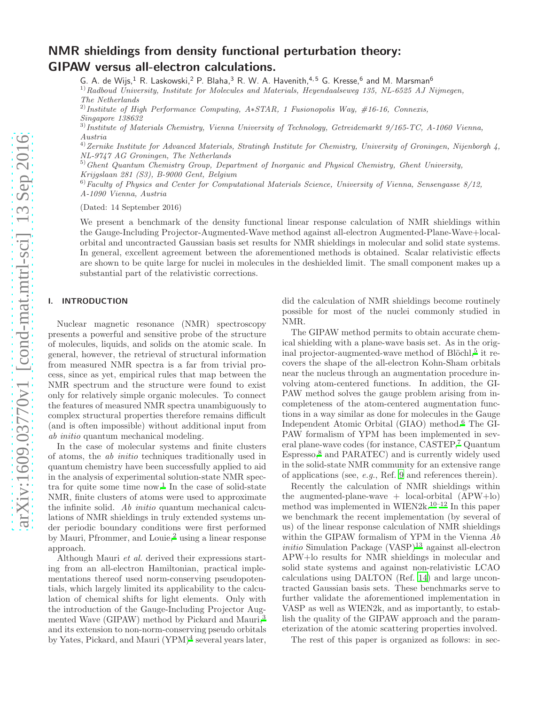# arXiv:1609.03770v1 [cond-mat.mtrl-sci] 13 Sep 2016 [arXiv:1609.03770v1 \[cond-mat.mtrl-sci\] 13 Sep 2016](http://arxiv.org/abs/1609.03770v1)

# NMR shieldings from density functional perturbation theory: GIPAW versus all-electron calculations.

G. A. de Wijs, $^1$  R. Laskowski, $^2$  P. Blaha, $^3$  R. W. A. Havenith, $^{4,5}$  G. Kresse, $^6$  and M. Marsman $^6$ 

 $1)$ Radboud University, Institute for Molecules and Materials, Heyendaalseweg 135, NL-6525 AJ Nijmegen, The Netherlands

<sup>2)</sup>Institute of High Performance Computing, A $*STAR$ , 1 Fusionopolis Way, #16-16, Connexis, Singapore 138632

3)Institute of Materials Chemistry, Vienna University of Technology, Getreidemarkt 9/165-TC, A-1060 Vienna, Austria

 $^{4)}$ Zernike Institute for Advanced Materials, Stratingh Institute for Chemistry, University of Groningen, Nijenborgh 4, NL-9747 AG Groningen, The Netherlands

 $<sup>5</sup>$ Ghent Quantum Chemistry Group, Department of Inorganic and Physical Chemistry, Ghent University,</sup> Krijgslaan 281 (S3), B-9000 Gent, Belgium

 $^{6)}$ Faculty of Physics and Center for Computational Materials Science, University of Vienna, Sensengasse  $8/12$ , A-1090 Vienna, Austria

(Dated: 14 September 2016)

We present a benchmark of the density functional linear response calculation of NMR shieldings within the Gauge-Including Projector-Augmented-Wave method against all-electron Augmented-Plane-Wave+localorbital and uncontracted Gaussian basis set results for NMR shieldings in molecular and solid state systems. In general, excellent agreement between the aforementioned methods is obtained. Scalar relativistic effects are shown to be quite large for nuclei in molecules in the deshielded limit. The small component makes up a substantial part of the relativistic corrections.

### I. INTRODUCTION

Nuclear magnetic resonance (NMR) spectroscopy presents a powerful and sensitive probe of the structure of molecules, liquids, and solids on the atomic scale. In general, however, the retrieval of structural information from measured NMR spectra is a far from trivial process, since as yet, empirical rules that map between the NMR spectrum and the structure were found to exist only for relatively simple organic molecules. To connect the features of measured NMR spectra unambiguously to complex structural properties therefore remains difficult (and is often impossible) without additional input from ab initio quantum mechanical modeling.

In the case of molecular systems and finite clusters of atoms, the ab initio techniques traditionally used in quantum chemistry have been successfully applied to aid in the analysis of experimental solution-state NMR spec-tra for quite some time now.<sup>[1](#page-13-1)</sup> In the case of solid-state NMR, finite clusters of atoms were used to approximate the infinite solid. Ab initio quantum mechanical calculations of NMR shieldings in truly extended systems under periodic boundary conditions were first performed by Mauri, Pfrommer, and Louie,<sup>[2](#page-13-2)</sup> using a linear response approach.

Although Mauri et al. derived their expressions starting from an all-electron Hamiltonian, practical implementations thereof used norm-conserving pseudopotentials, which largely limited its applicability to the calculation of chemical shifts for light elements. Only with the introduction of the Gauge-Including Projector Aug-mented Wave (GIPAW) method by Pickard and Mauri,<sup>[3](#page-13-3)</sup> and its extension to non-norm-conserving pseudo orbitals by Yates, Pickard, and Mauri (YPM)<sup>[4](#page-13-4)</sup> several years later,

did the calculation of NMR shieldings become routinely possible for most of the nuclei commonly studied in NMR.

The GIPAW method permits to obtain accurate chemical shielding with a plane-wave basis set. As in the orig-inal projector-augmented-wave method of Blöchl,<sup>[5](#page-13-5)</sup> it recovers the shape of the all-electron Kohn-Sham orbitals near the nucleus through an augmentation procedure involving atom-centered functions. In addition, the GI-PAW method solves the gauge problem arising from incompleteness of the atom-centered augmentation functions in a way similar as done for molecules in the Gauge Independent Atomic Orbital (GIAO) method.[6](#page-13-6) The GI-PAW formalism of YPM has been implemented in several plane-wave codes (for instance, CASTEP,[7](#page-14-0) Quantum Espresso,[8](#page-14-1) and PARATEC) and is currently widely used in the solid-state NMR community for an extensive range of applications (see, e.g., Ref. [9](#page-14-2) and references therein).

Recently the calculation of NMR shieldings within the augmented-plane-wave  $+$  local-orbital  $(APW+Io)$ method was implemented in WIEN2k.[10](#page-14-3)[–12](#page-14-4) In this paper we benchmark the recent implementation (by several of us) of the linear response calculation of NMR shieldings within the GIPAW formalism of YPM in the Vienna Ab initio Simulation Package  $(VASP)^{13}$  $(VASP)^{13}$  $(VASP)^{13}$  against all-electron APW+lo results for NMR shieldings in molecular and solid state systems and against non-relativistic LCAO calculations using DALTON (Ref. [14](#page-14-6)) and large uncontracted Gaussian basis sets. These benchmarks serve to further validate the aforementioned implementation in VASP as well as WIEN2k, and as importantly, to establish the quality of the GIPAW approach and the parameterization of the atomic scattering properties involved.

The rest of this paper is organized as follows: in sec-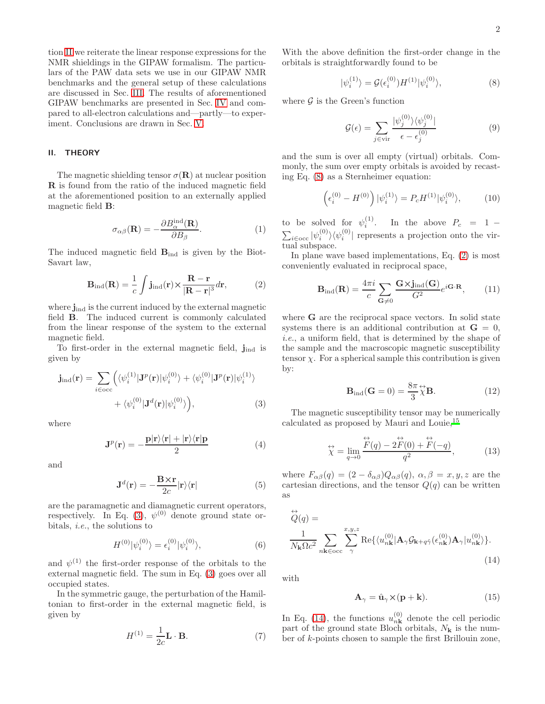tion [II](#page-4-0) we reiterate the linear response expressions for the NMR shieldings in the GIPAW formalism. The particulars of the PAW data sets we use in our GIPAW NMR benchmarks and the general setup of these calculations are discussed in Sec. [III.](#page-6-0) The results of aforementioned GIPAW benchmarks are presented in Sec. [IV](#page-8-1) and compared to all-electron calculations and—partly—to experiment. Conclusions are drawn in Sec. [V.](#page-13-7)

### <span id="page-4-0"></span>II. THEORY

The magnetic shielding tensor  $\sigma(\mathbf{R})$  at nuclear position R is found from the ratio of the induced magnetic field at the aforementioned position to an externally applied magnetic field B:

<span id="page-4-5"></span>
$$
\sigma_{\alpha\beta}(\mathbf{R}) = -\frac{\partial B_{\alpha}^{\text{ind}}(\mathbf{R})}{\partial B_{\beta}}.
$$
 (1)

The induced magnetic field Bind is given by the Biot-Savart law,

<span id="page-4-3"></span>
$$
\mathbf{B}_{\rm ind}(\mathbf{R}) = \frac{1}{c} \int \mathbf{j}_{\rm ind}(\mathbf{r}) \times \frac{\mathbf{R} - \mathbf{r}}{|\mathbf{R} - \mathbf{r}|^3} d\mathbf{r},\tag{2}
$$

where  $j_{ind}$  is the current induced by the external magnetic field B. The induced current is commonly calculated from the linear response of the system to the external magnetic field.

To first-order in the external magnetic field,  $j_{ind}$  is given by

$$
\mathbf{j}_{\text{ind}}(\mathbf{r}) = \sum_{i \in \text{occ}} \left( \langle \psi_i^{(1)} | \mathbf{J}^p(\mathbf{r}) | \psi_i^{(0)} \rangle + \langle \psi_i^{(0)} | \mathbf{J}^p(\mathbf{r}) | \psi_i^{(1)} \rangle \right. \\
\left. + \langle \psi_i^{(0)} | \mathbf{J}^d(\mathbf{r}) | \psi_i^{(0)} \rangle \right), \tag{3}
$$

where

<span id="page-4-8"></span>
$$
\mathbf{J}^{p}(\mathbf{r}) = -\frac{\mathbf{p}|\mathbf{r}\rangle\langle\mathbf{r}| + |\mathbf{r}\rangle\langle\mathbf{r}|\mathbf{p}}{2}
$$
 (4)

and

<span id="page-4-9"></span>
$$
\mathbf{J}^{d}(\mathbf{r}) = -\frac{\mathbf{B} \times \mathbf{r}}{2c} |\mathbf{r}\rangle\langle\mathbf{r}| \tag{5}
$$

are the paramagnetic and diamagnetic current operators, respectively. In Eq. [\(3\)](#page-4-1),  $\psi^{(0)}$  denote ground state orbitals, i.e., the solutions to

<span id="page-4-7"></span>
$$
H^{(0)}|\psi_i^{(0)}\rangle = \epsilon_i^{(0)}|\psi_i^{(0)}\rangle,\tag{6}
$$

and  $\psi^{(1)}$  the first-order response of the orbitals to the external magnetic field. The sum in Eq. [\(3\)](#page-4-1) goes over all occupied states.

In the symmetric gauge, the perturbation of the Hamiltonian to first-order in the external magnetic field, is given by

$$
H^{(1)} = \frac{1}{2c} \mathbf{L} \cdot \mathbf{B}.
$$
 (7)

With the above definition the first-order change in the orbitals is straightforwardly found to be

<span id="page-4-2"></span>
$$
|\psi_i^{(1)}\rangle = \mathcal{G}(\epsilon_i^{(0)})H^{(1)}|\psi_i^{(0)}\rangle,\tag{8}
$$

where  $\mathcal G$  is the Green's function

$$
\mathcal{G}(\epsilon) = \sum_{j \in \text{vir}} \frac{|\psi_j^{(0)}\rangle \langle \psi_j^{(0)}|}{\epsilon - \epsilon_j^{(0)}} \tag{9}
$$

and the sum is over all empty (virtual) orbitals. Commonly, the sum over empty orbitals is avoided by recasting Eq. [\(8\)](#page-4-2) as a Sternheimer equation:

$$
\left(\epsilon_i^{(0)} - H^{(0)}\right)|\psi_i^{(1)}\rangle = P_c H^{(1)}|\psi_i^{(0)}\rangle,\tag{10}
$$

to be solved for  $\psi_i^{(1)}$ . In the above  $P_c = 1 \sum_{i \in \text{occ}} |\psi_i^{(0)}\rangle \langle \psi_i^{(0)}|$  represents a projection onto the virtual subspace.

In plane wave based implementations, Eq. [\(2\)](#page-4-3) is most conveniently evaluated in reciprocal space,

$$
\mathbf{B}_{\rm ind}(\mathbf{R}) = \frac{4\pi i}{c} \sum_{\mathbf{G}\neq 0} \frac{\mathbf{G} \times \mathbf{j}_{\rm ind}(\mathbf{G})}{G^2} e^{i\mathbf{G} \cdot \mathbf{R}},\qquad(11)
$$

where G are the reciprocal space vectors. In solid state systems there is an additional contribution at  $G = 0$ , i.e., a uniform field, that is determined by the shape of the sample and the macroscopic magnetic susceptibility tensor  $\chi$ . For a spherical sample this contribution is given by:

<span id="page-4-10"></span>
$$
\mathbf{B}_{\rm ind}(\mathbf{G}=0) = \frac{8\pi}{3}\overrightarrow{\chi}\mathbf{B}.
$$
 (12)

<span id="page-4-1"></span>The magnetic susceptibility tensor may be numerically calculated as proposed by Mauri and Louie,[15](#page-14-7)

<span id="page-4-6"></span>
$$
\stackrel{\leftrightarrow}{\chi} = \lim_{q \to 0} \frac{\stackrel{\leftrightarrow}{F}(q) - 2\stackrel{\leftrightarrow}{F}(0) + \stackrel{\leftrightarrow}{F}(-q)}{q^2},\tag{13}
$$

where  $F_{\alpha\beta}(q) = (2 - \delta_{\alpha\beta})Q_{\alpha\beta}(q)$ ,  $\alpha, \beta = x, y, z$  are the cartesian directions, and the tensor  $Q(q)$  can be written as

$$
\overleftrightarrow{Q}(q) = \frac{1}{N_{\mathbf{k}}\Omega c^2} \sum_{n\mathbf{k}\in\text{occ}} \sum_{\gamma}^{x,y,z} \text{Re}\{\langle u_{n\mathbf{k}}^{(0)} | \mathbf{A}_{\gamma} \mathcal{G}_{\mathbf{k}+q\hat{\gamma}}(\epsilon_{n\mathbf{k}}^{(0)}) \mathbf{A}_{\gamma} | u_{n\mathbf{k}}^{(0)}\rangle\}.
$$
\n(14)

with

<span id="page-4-4"></span>
$$
\mathbf{A}_{\gamma} = \hat{\mathbf{u}}_{\gamma} \times (\mathbf{p} + \mathbf{k}). \tag{15}
$$

In Eq. [\(14\)](#page-4-4), the functions  $u_{n\mathbf{k}}^{(0)}$  denote the cell periodic part of the ground state Bloch orbitals,  $N_k$  is the number of k-points chosen to sample the first Brillouin zone,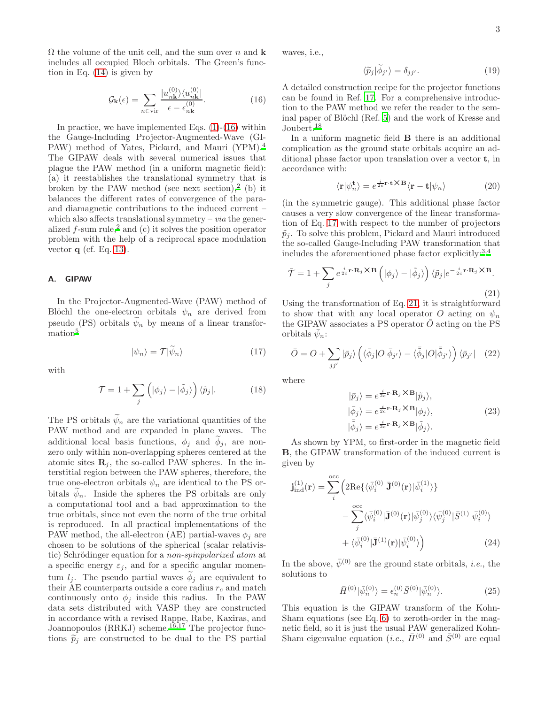$\Omega$  the volume of the unit cell, and the sum over n and **k** includes all occupied Bloch orbitals. The Green's function in Eq. [\(14\)](#page-4-4) is given by

<span id="page-5-0"></span>
$$
\mathcal{G}_{\mathbf{k}}(\epsilon) = \sum_{n \in \text{vir}} \frac{|u_{n\mathbf{k}}^{(0)}\rangle \langle u_{n\mathbf{k}}^{(0)}|}{\epsilon - \epsilon_{n\mathbf{k}}^{(0)}}.
$$
(16)

In practice, we have implemented Eqs.  $(1)-(16)$  $(1)-(16)$  within the Gauge-Including Projector-Augmented-Wave (GI-PAW) method of Yates, Pickard, and Mauri (YPM).<sup>[4](#page-13-4)</sup> The GIPAW deals with several numerical issues that plague the PAW method (in a uniform magnetic field): (a) it reestablishes the translational symmetry that is broken by the PAW method (see next section),<sup>[2](#page-13-2)</sup> (b) it balances the different rates of convergence of the paraand diamagnetic contributions to the induced current – which also affects translational symmetry –  $via$  the generalized  $f$ -sum rule,<sup>[2](#page-13-2)</sup> and (c) it solves the position operator problem with the help of a reciprocal space modulation vector  $q$  (cf. Eq. [13\)](#page-4-6).

### A. GIPAW

In the Projector-Augmented-Wave (PAW) method of Blöchl the one-electron orbitals  $\psi_n$  are derived from pseudo (PS) orbitals  $\psi_n$  by means of a linear transformatio[n](#page-13-5)<sup>5</sup>

<span id="page-5-1"></span>
$$
|\psi_n\rangle = \mathcal{T}|\psi_n\rangle \tag{17}
$$

with

$$
\mathcal{T} = 1 + \sum_{j} \left( |\phi_j\rangle - |\tilde{\phi}_j\rangle \right) \langle \tilde{p}_j|. \tag{18}
$$

The PS orbitals  $\psi_n$  are the variational quantities of the PAW method and are expanded in plane waves. The additional local basis functions,  $\phi_j$  and  $\phi_j$ , are nonzero only within non-overlapping spheres centered at the atomic sites  $\mathbf{R}_j$ , the so-called PAW spheres. In the interstitial region between the PAW spheres, therefore, the true one-electron orbitals  $\psi_n$  are identical to the PS orbitals  $\tilde{\psi}_n$ . Inside the spheres the PS orbitals are only a computational tool and a bad approximation to the true orbitals, since not even the norm of the true orbital is reproduced. In all practical implementations of the PAW method, the all-electron (AE) partial-waves  $\phi_i$  are chosen to be solutions of the spherical (scalar relativistic) Schrödinger equation for a *non-spinpolarized atom* at a specific energy  $\varepsilon_j$ , and for a specific angular momentum  $l_i$ . The pseudo partial waves  $\phi_i$  are equivalent to their AE counterparts outside a core radius  $r_c$  and match continuously onto  $\phi_i$  inside this radius. In the PAW data sets distributed with VASP they are constructed in accordance with a revised Rappe, Rabe, Kaxiras, and Joannopoulos (RRKJ) scheme.<sup>[16](#page-14-8)[,17](#page-14-9)</sup> The projector functions  $\tilde{p}_j$  are constructed to be dual to the PS partial

waves, i.e.,

$$
\langle \widetilde{p}_j | \widetilde{\phi}_{j'} \rangle = \delta_{jj'}.
$$
 (19)

A detailed construction recipe for the projector functions can be found in Ref. [17.](#page-14-9) For a comprehensive introduction to the PAW method we refer the reader to the sem-inal paper of Blöchl (Ref. [5\)](#page-13-5) and the work of Kresse and Joubert.<sup>[18](#page-14-10)</sup>

In a uniform magnetic field B there is an additional complication as the ground state orbitals acquire an additional phase factor upon translation over a vector t, in accordance with:

$$
\langle \mathbf{r} | \psi_n^{\mathbf{t}} \rangle = e^{\frac{i}{2c} \mathbf{r} \cdot \mathbf{t} \times \mathbf{B}} \langle \mathbf{r} - \mathbf{t} | \psi_n \rangle \tag{20}
$$

(in the symmetric gauge). This additional phase factor causes a very slow convergence of the linear transformation of Eq. [17](#page-5-1) with respect to the number of projectors  $\tilde{p}_i$ . To solve this problem, Pickard and Mauri introduced the so-called Gauge-Including PAW transformation that includes the aforementioned phase factor explicitly: $3,4$  $3,4$ 

<span id="page-5-2"></span>
$$
\bar{\mathcal{T}} = 1 + \sum_{j} e^{\frac{i}{2c} \mathbf{r} \cdot \mathbf{R}_{j} \times \mathbf{B}} \left( |\phi_{j} \rangle - |\tilde{\phi}_{j} \rangle \right) \langle \tilde{p}_{j} | e^{-\frac{i}{2c} \mathbf{r} \cdot \mathbf{R}_{j} \times \mathbf{B}}.
$$
\n(21)

Using the transformation of Eq. [21,](#page-5-2) it is straightforward to show that with any local operator O acting on  $\psi_n$ the GIPAW associates a PS operator  $\overline{O}$  acting on the PS orbitals  $\bar{\psi}_n$ :

<span id="page-5-4"></span>
$$
\bar{O} = O + \sum_{jj'} |\bar{p}_j\rangle \left( \langle \bar{\phi}_j | O | \bar{\phi}_{j'} \rangle - \langle \bar{\tilde{\phi}}_j | O | \bar{\tilde{\phi}}_{j'} \rangle \right) \langle \bar{p}_{j'} | \quad (22)
$$

where

$$
|\bar{p}_j\rangle = e^{\frac{i}{2c}\mathbf{r}\cdot\mathbf{R}_j \times \mathbf{B}} |\tilde{p}_j\rangle, |\bar{\phi}_j\rangle = e^{\frac{i}{2c}\mathbf{r}\cdot\mathbf{R}_j \times \mathbf{B}} |\phi_j\rangle, |\tilde{\phi}_j\rangle = e^{\frac{i}{2c}\mathbf{r}\cdot\mathbf{R}_j \times \mathbf{B}} |\tilde{\phi}_j\rangle.
$$
 (23)

As shown by YPM, to first-order in the magnetic field B, the GIPAW transformation of the induced current is given by

$$
\mathbf{j}_{\text{ind}}^{(1)}(\mathbf{r}) = \sum_{i}^{\text{occ}} \left( 2 \text{Re}\{ \langle \bar{\psi}_{i}^{(0)} | \mathbf{J}^{(0)}(\mathbf{r}) | \bar{\psi}_{i}^{(1)} \rangle \} - \sum_{j}^{\text{occ}} \langle \bar{\psi}_{i}^{(0)} | \mathbf{J}^{(0)}(\mathbf{r}) | \bar{\psi}_{j}^{(0)} \rangle \langle \bar{\psi}_{j}^{(0)} | \bar{S}^{(1)} | \bar{\psi}_{i}^{(0)} \rangle + \langle \bar{\psi}_{i}^{(0)} | \mathbf{J}^{(1)}(\mathbf{r}) | \bar{\psi}_{i}^{(0)} \rangle \right)
$$
(24)

In the above,  $\bar{\psi}^{(0)}$  are the ground state orbitals, *i.e.*, the solutions to

<span id="page-5-3"></span>
$$
\bar{H}^{(0)}|\bar{\psi}_n^{(0)}\rangle = \epsilon_n^{(0)}\bar{S}^{(0)}|\bar{\psi}_n^{(0)}\rangle.
$$
 (25)

This equation is the GIPAW transform of the Kohn-Sham equations (see Eq. [6\)](#page-4-7) to zeroth-order in the magnetic field, so it is just the usual PAW generalized Kohn-Sham eigenvalue equation (*i.e.*,  $\bar{H}^{(0)}$  and  $\bar{S}^{(0)}$  are equal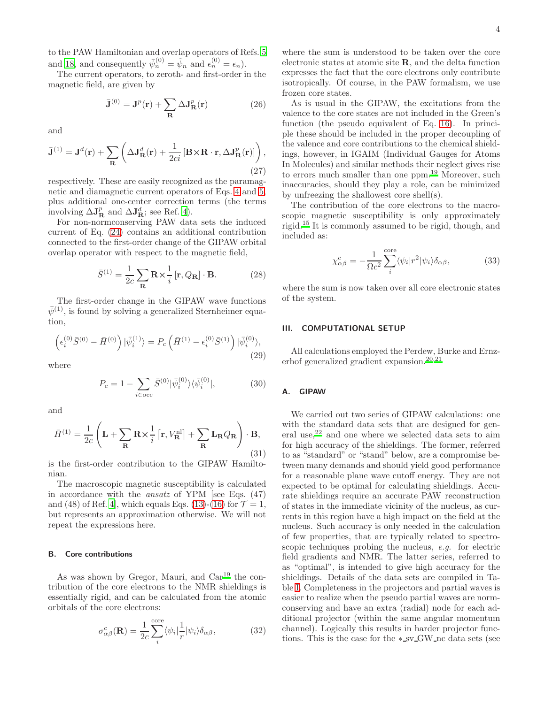to the PAW Hamiltonian and overlap operators of Refs. [5](#page-13-5) and [18](#page-14-10), and consequently  $\bar{\psi}_n^{(0)} = \tilde{\psi}_n$  and  $\epsilon_n^{(0)} = \epsilon_n$ ).

The current operators, to zeroth- and first-order in the magnetic field, are given by

$$
\bar{\mathbf{J}}^{(0)} = \mathbf{J}^p(\mathbf{r}) + \sum_{\mathbf{R}} \Delta \mathbf{J}_{\mathbf{R}}^p(\mathbf{r})
$$
 (26)

and

$$
\bar{\mathbf{J}}^{(1)} = \mathbf{J}^d(\mathbf{r}) + \sum_{\mathbf{R}} \left( \Delta \mathbf{J}_{\mathbf{R}}^d(\mathbf{r}) + \frac{1}{2ci} \left[ \mathbf{B} \times \mathbf{R} \cdot \mathbf{r}, \Delta \mathbf{J}_{\mathbf{R}}^p(\mathbf{r}) \right] \right),\tag{27}
$$

respectively. These are easily recognized as the paramagnetic and diamagnetic current operators of Eqs. [4](#page-4-8) and [5,](#page-4-9) plus additional one-center correction terms (the terms involving  $\Delta J_{\text{R}}^{p}$  and  $\Delta J_{\text{R}}^{d}$ ; see Ref. [4](#page-13-4)).

For non-normconserving PAW data sets the induced current of Eq. [\(24\)](#page-5-3) contains an additional contribution connected to the first-order change of the GIPAW orbital overlap operator with respect to the magnetic field,

$$
\bar{S}^{(1)} = \frac{1}{2c} \sum_{\mathbf{R}} \mathbf{R} \times \frac{1}{i} \left[ \mathbf{r}, Q_{\mathbf{R}} \right] \cdot \mathbf{B}.
$$
 (28)

The first-order change in the GIPAW wave functions  $\bar{\psi}^{(1)}$ , is found by solving a generalized Sternheimer equation,

$$
\left(\epsilon_i^{(0)}\bar{S}^{(0)} - \bar{H}^{(0)}\right)|\bar{\psi}_i^{(1)}\rangle = P_c\left(\bar{H}^{(1)} - \epsilon_i^{(0)}\bar{S}^{(1)}\right)|\bar{\psi}_i^{(0)}\rangle,\tag{29}
$$

where

$$
P_c = 1 - \sum_{i \in \text{occ}} \bar{S}^{(0)} |\bar{\psi}_i^{(0)}\rangle \langle \bar{\psi}_i^{(0)}|,\tag{30}
$$

and

$$
\bar{H}^{(1)} = \frac{1}{2c} \left( \mathbf{L} + \sum_{\mathbf{R}} \mathbf{R} \times \frac{1}{i} \left[ \mathbf{r}, V_{\mathbf{R}}^{\text{nl}} \right] + \sum_{\mathbf{R}} \mathbf{L}_{\mathbf{R}} Q_{\mathbf{R}} \right) \cdot \mathbf{B},\tag{31}
$$

is the first-order contribution to the GIPAW Hamiltonian.

The macroscopic magnetic susceptibility is calculated in accordance with the ansatz of YPM [see Eqs. (47) and (48) of Ref. [4](#page-13-4), which equals Eqs. [\(13\)](#page-4-6)-[\(16\)](#page-5-0) for  $\mathcal{T} = 1$ , but represents an approximation otherwise. We will not repeat the expressions here.

### B. Core contributions

As was shown by Gregor, Mauri, and Car<sup>[19](#page-14-11)</sup> the contribution of the core electrons to the NMR shieldings is essentially rigid, and can be calculated from the atomic orbitals of the core electrons:

<span id="page-6-1"></span>
$$
\sigma_{\alpha\beta}^c(\mathbf{R}) = \frac{1}{2c} \sum_{i}^{\text{core}} \langle \psi_i | \frac{1}{r} | \psi_i \rangle \delta_{\alpha\beta}, \tag{32}
$$

where the sum is understood to be taken over the core electronic states at atomic site R, and the delta function expresses the fact that the core electrons only contribute isotropically. Of course, in the PAW formalism, we use frozen core states.

As is usual in the GIPAW, the excitations from the valence to the core states are not included in the Green's function (the pseudo equivalent of Eq. [16\)](#page-5-0). In principle these should be included in the proper decoupling of the valence and core contributions to the chemical shieldings, however, in IGAIM (Individual Gauges for Atoms In Molecules) and similar methods their neglect gives rise to errors much smaller than one ppm.[19](#page-14-11) Moreover, such inaccuracies, should they play a role, can be minimized by unfreezing the shallowest core shell(s).

The contribution of the core electrons to the macroscopic magnetic susceptibility is only approximately rigid.[15](#page-14-7) It is commonly assumed to be rigid, though, and included as:

$$
\chi^c_{\alpha\beta} = -\frac{1}{\Omega c^2} \sum_{i}^{\text{core}} \langle \psi_i | r^2 | \psi_i \rangle \delta_{\alpha\beta}, \tag{33}
$$

where the sum is now taken over all core electronic states of the system.

### <span id="page-6-0"></span>III. COMPUTATIONAL SETUP

All calculations employed the Perdew, Burke and Ernz-erhof generalized gradient expansion.<sup>[20](#page-14-12)[,21](#page-14-13)</sup>

### <span id="page-6-2"></span>A. GIPAW

We carried out two series of GIPAW calculations: one with the standard data sets that are designed for general use, $2^2$  and one where we selected data sets to aim for high accuracy of the shieldings. The former, referred to as "standard" or "stand" below, are a compromise between many demands and should yield good performance for a reasonable plane wave cutoff energy. They are not expected to be optimal for calculating shieldings. Accurate shieldings require an accurate PAW reconstruction of states in the immediate vicinity of the nucleus, as currents in this region have a high impact on the field at the nucleus. Such accuracy is only needed in the calculation of few properties, that are typically related to spectroscopic techniques probing the nucleus, e.g. for electric field gradients and NMR. The latter series, referred to as "optimal", is intended to give high accuracy for the shieldings. Details of the data sets are compiled in Table [I.](#page-8-0) Completeness in the projectors and partial waves is easier to realize when the pseudo partial waves are normconserving and have an extra (radial) node for each additional projector (within the same angular momentum channel). Logically this results in harder projector functions. This is the case for the ∗ sv GW nc data sets (see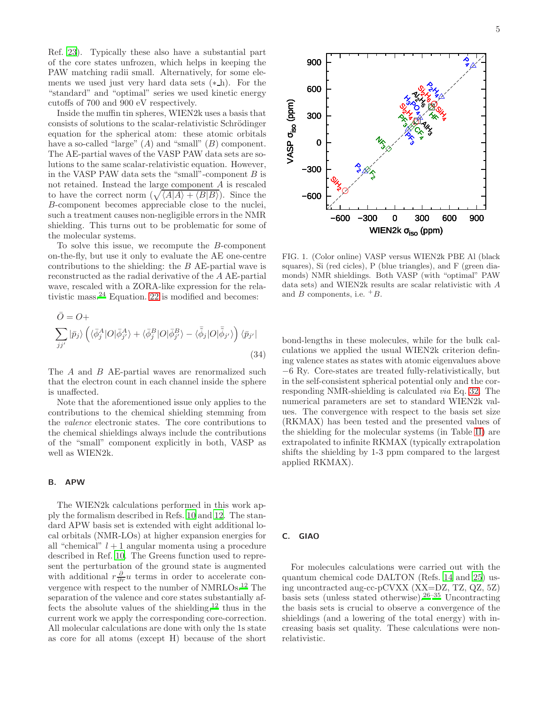Ref. [23](#page-14-15)). Typically these also have a substantial part of the core states unfrozen, which helps in keeping the PAW matching radii small. Alternatively, for some elements we used just very hard data sets  $(*_h)$ . For the "standard" and "optimal" series we used kinetic energy cutoffs of 700 and 900 eV respectively.

Inside the muffin tin spheres, WIEN2k uses a basis that consists of solutions to the scalar-relativistic Schrödinger equation for the spherical atom: these atomic orbitals have a so-called "large"  $(A)$  and "small"  $(B)$  component. The AE-partial waves of the VASP PAW data sets are solutions to the same scalar-relativistic equation. However, in the VASP PAW data sets the "small"-component  $B$  is not retained. Instead the large component A is rescaled to have the correct norm  $(\sqrt{\langle A|A\rangle + \langle B|B\rangle})$ . Since the B-component becomes appreciable close to the nuclei, such a treatment causes non-negligible errors in the NMR shielding. This turns out to be problematic for some of the molecular systems.

To solve this issue, we recompute the B-component on-the-fly, but use it only to evaluate the AE one-centre contributions to the shielding: the B AE-partial wave is reconstructed as the radial derivative of the A AE-partial wave, rescaled with a ZORA-like expression for the relativistic mass.[24](#page-14-16) Equation. [22](#page-5-4) is modified and becomes:

$$
\bar{O} = O + \sum_{jj'} |\bar{p}_j\rangle \left( \langle \bar{\phi}_j^A | O | \bar{\phi}_{j'}^A \rangle + \langle \bar{\phi}_j^B | O | \bar{\phi}_{j'}^B \rangle - \langle \bar{\phi}_j | O | \bar{\phi}_{j'} \rangle \right) \langle \bar{p}_{j'} |
$$
\n(34)

The A and B AE-partial waves are renormalized such that the electron count in each channel inside the sphere is unaffected.

Note that the aforementioned issue only applies to the contributions to the chemical shielding stemming from the valence electronic states. The core contributions to the chemical shieldings always include the contributions of the "small" component explicitly in both, VASP as well as WIEN2k.

### B. APW

The WIEN2k calculations performed in this work apply the formalism described in Refs. [10](#page-14-3) and [12.](#page-14-4) The standard APW basis set is extended with eight additional local orbitals (NMR-LOs) at higher expansion energies for all "chemical"  $l + 1$  angular momenta using a procedure described in Ref. [10.](#page-14-3) The Greens function used to represent the perturbation of the ground state is augmented with additional  $r \frac{\partial}{\partial r} u$  terms in order to accelerate convergence with respect to the number of NMRLOs.[12](#page-14-4) The separation of the valence and core states substantially af-fects the absolute values of the shielding,<sup>[12](#page-14-4)</sup> thus in the current work we apply the corresponding core-correction. All molecular calculations are done with only the 1s state as core for all atoms (except H) because of the short



<span id="page-7-0"></span>FIG. 1. (Color online) VASP versus WIEN2k PBE Al (black squares), Si (red cicles), P (blue triangles), and F (green diamonds) NMR shieldings. Both VASP (with "optimal" PAW data sets) and WIEN2k results are scalar relativistic with A and  $B$  components, i.e.  ${}^+B$ .

bond-lengths in these molecules, while for the bulk calculations we applied the usual WIEN2k criterion defining valence states as states with atomic eigenvalues above −6 Ry. Core-states are treated fully-relativistically, but in the self-consistent spherical potential only and the corresponding NMR-shielding is calculated via Eq. [32.](#page-6-1) The numerical parameters are set to standard WIEN2k values. The convergence with respect to the basis set size (RKMAX) has been tested and the presented values of the shielding for the molecular systems (in Table [II\)](#page-9-0) are extrapolated to infinite RKMAX (typically extrapolation shifts the shielding by 1-3 ppm compared to the largest applied RKMAX).

### C. GIAO

For molecules calculations were carried out with the quantum chemical code DALTON (Refs. [14](#page-14-6) and [25\)](#page-14-17) using uncontracted aug-cc-pCVXX (XX=DZ, TZ, QZ, 5Z) basis sets (unless stated otherwise).<sup>[26](#page-14-18)[–35](#page-14-19)</sup> Uncontracting the basis sets is crucial to observe a convergence of the shieldings (and a lowering of the total energy) with increasing basis set quality. These calculations were nonrelativistic.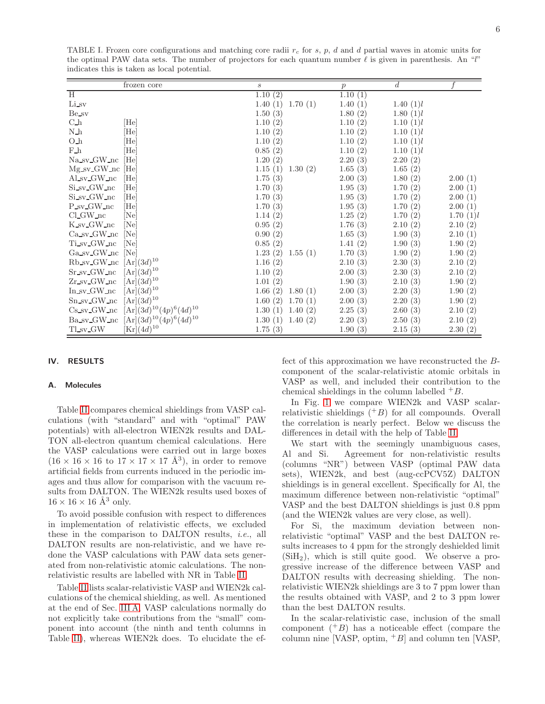<span id="page-8-0"></span>TABLE I. Frozen core configurations and matching core radii  $r_c$  for s, p, d and d partial waves in atomic units for the optimal PAW data sets. The number of projectors for each quantum number  $\ell$  is given in parenthesis. An "l" indicates this is taken as local potential.

|                        | frozen core                      | $\boldsymbol{s}$   | $\boldsymbol{p}$ | $\boldsymbol{d}$ |          |
|------------------------|----------------------------------|--------------------|------------------|------------------|----------|
| H                      |                                  | 1.10(2)            | 1.10(1)          |                  |          |
| Li_sv                  |                                  | 1.40(1)<br>1.70(1) | 1.40(1)          | 1.40(1)l         |          |
| Be_sv                  |                                  | 1.50(3)            | 1.80(2)          | 1.80(1)l         |          |
| ${\rm C}\_{\rm h}$     | $[\text{He}]$                    | 1.10(2)            | 1.10(2)          | 1.10(1)l         |          |
| $N_h$                  | [He]                             | 1.10(2)            | 1.10(2)          | 1.10(1)l         |          |
| 0 <sub>h</sub>         | [He]                             | 1.10(2)            | 1.10(2)          | 1.10(1)l         |          |
| $F_h$                  | He                               | 0.85(2)            | 1.10(2)          | 1.10(1)l         |          |
| Na sv GW nc            | He                               | 1.20(2)            | 2.20(3)          | 2.20(2)          |          |
| $Mg$ sv $GW$ nc        | [He]                             | 1.15(1)<br>1.30(2) | 1.65(3)          | 1.65(2)          |          |
| Alsv <sub>-GW-nc</sub> | [He]                             | 1.75(3)            | 2.00(3)          | 1.80(2)          | 2.00(1)  |
| Si_sv_GW_nc            | [He]                             | 1.70(3)            | 1.95(3)          | 1.70(2)          | 2.00(1)  |
| Si_sv_GW_nc            | [He]                             | 1.70(3)            | 1.95(3)          | 1.70(2)          | 2.00(1)  |
| P_sv_GW_nc             | [He]                             | 1.70(3)            | 1.95(3)          | 1.70(2)          | 2.00(1)  |
| $Cl_GW_nc$             | [Ne]                             | 1.14(2)            | 1.25(2)          | 1.70(2)          | 1.70(1)l |
| K_sv_GW_nc             | [Ne]                             | 0.95(2)            | 1.76(3)          | 2.10(2)          | 2.10(2)  |
| Ca sv GW nc            | Ne                               | 0.90(2)            | 1.65(3)          | 1.90(3)          | 2.10(1)  |
| Ti_sv_GW_nc            | [Ne]                             | 0.85(2)            | 1.41(2)          | 1.90(3)          | 1.90(2)  |
| Ga_sv_GW_nc            | [Ne]                             | 1.23(2)<br>1.55(1) | 1.70(3)          | 1.90(2)          | 1.90(2)  |
| Rb_sv_GW_nc            | $[Ar](3d)^{10}$                  | 1.16(2)            | 2.10(3)          | 2.30(3)          | 2.10(2)  |
| Sr_sv_GW_nc            | $[Ar](3d)^{10}$                  | 1.10(2)            | 2.00(3)          | 2.30(3)          | 2.10(2)  |
| $Zr$ _sv_ $GW$ _nc     | $[Ar](3d)^{10}$                  | 1.01(2)            | 1.90(3)          | 2.10(3)          | 1.90(2)  |
| In sv_GW_nc            | $[Ar](3d)^{10}$                  | 1.66(2)<br>1.80(1) | 2.00(3)          | 2.20(3)          | 1.90(2)  |
| Sn_sv_GW_nc            | $[Ar](3d)^{10}$                  | 1.60(2)<br>1.70(1) | 2.00(3)          | 2.20(3)          | 1.90(2)  |
| $Cs$ _sv_ $GW$ _nc     | $[Ar](3d)^{10}(4p)^{6}(4d)^{10}$ | 1.30(1)<br>1.40(2) | 2.25(3)          | 2.60(3)          | 2.10(2)  |
| Ba_sv_GW_nc            | $[Ar](3d)^{10}(4p)^{6}(4d)^{10}$ | 1.30(1)<br>1.40(2) | 2.20(3)          | 2.50(3)          | 2.10(2)  |
| TLsv_GW                | $[\mathrm{Kr}](4d)^{10}$         | 1.75(3)            | 1.90(3)          | 2.15(3)          | 2.30(2)  |

### <span id="page-8-1"></span>IV. RESULTS

### A. Molecules

Table [II](#page-9-0) compares chemical shieldings from VASP calculations (with "standard" and with "optimal" PAW potentials) with all-electron WIEN2k results and DAL-TON all-electron quantum chemical calculations. Here the VASP calculations were carried out in large boxes  $(16 \times 16 \times 16$  to  $17 \times 17 \times 17 \text{ Å}^3)$ , in order to remove artificial fields from currents induced in the periodic images and thus allow for comparison with the vacuum results from DALTON. The WIEN2k results used boxes of  $16 \times 16 \times 16 \text{ Å}^3$  only.

To avoid possible confusion with respect to differences in implementation of relativistic effects, we excluded these in the comparison to DALTON results, i.e., all DALTON results are non-relativistic, and we have redone the VASP calculations with PAW data sets generated from non-relativistic atomic calculations. The nonrelativistic results are labelled with NR in Table [II.](#page-9-0)

Table [II](#page-9-0) lists scalar-relativistic VASP and WIEN2k calculations of the chemical shielding, as well. As mentioned at the end of Sec. [III A,](#page-6-2) VASP calculations normally do not explicitly take contributions from the "small" component into account (the ninth and tenth columns in Table [II\)](#page-9-0), whereas WIEN2k does. To elucidate the effect of this approximation we have reconstructed the Bcomponent of the scalar-relativistic atomic orbitals in VASP as well, and included their contribution to the chemical shieldings in the column labelled  ${}^+B$ .

In Fig. [1](#page-7-0) we compare WIEN2k and VASP scalarrelativistic shieldings  $( +B)$  for all compounds. Overall the correlation is nearly perfect. Below we discuss the differences in detail with the help of Table [II.](#page-9-0)

We start with the seemingly unambiguous cases, Al and Si. Agreement for non-relativistic results (columns "NR") between VASP (optimal PAW data sets), WIEN2k, and best (aug-ccPCV5Z) DALTON shieldings is in general excellent. Specifically for Al, the maximum difference between non-relativistic "optimal" VASP and the best DALTON shieldings is just 0.8 ppm (and the WIEN2k values are very close, as well).

For Si, the maximum deviation between nonrelativistic "optimal" VASP and the best DALTON results increases to 4 ppm for the strongly deshielded limit  $(SiH<sub>2</sub>)$ , which is still quite good. We observe a progressive increase of the difference between VASP and DALTON results with decreasing shielding. The nonrelativistic WIEN2k shieldings are 3 to 7 ppm lower than the results obtained with VASP, and 2 to 3 ppm lower than the best DALTON results.

In the scalar-relativistic case, inclusion of the small component  $(^{+}B)$  has a noticeable effect (compare the column nine [VASP, optim,  $\pm B$ ] and column ten [VASP,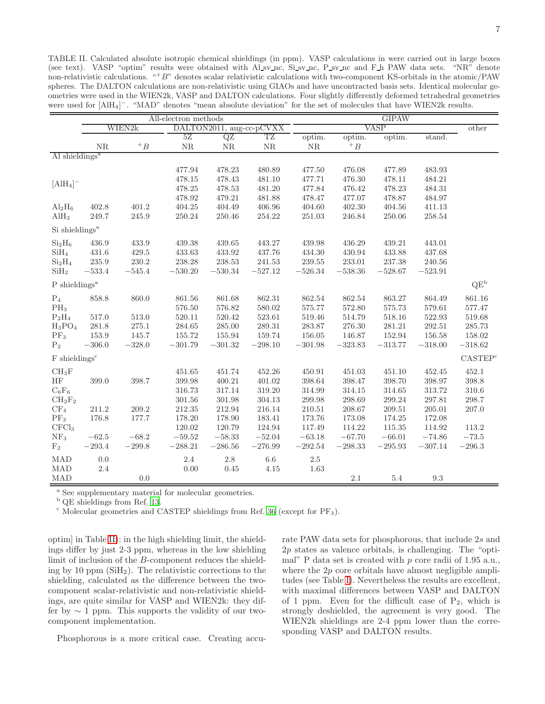<span id="page-9-0"></span>TABLE II. Calculated absolute isotropic chemical shieldings (in ppm). VASP calculations in were carried out in large boxes (see text). VASP "optim" results were obtained with Al sv nc, Si sv nc, P sv nc and F h PAW data sets. "NR" denote non-relativistic calculations. " $+ B$ " denotes scalar relativistic calculations with two-component KS-orbitals in the atomic/PAW spheres. The DALTON calculations are non-relativistic using GIAOs and have uncontracted basis sets. Identical molecular geometries were used in the WIEN2k, VASP and DALTON calculations. Four slightly differently deformed tetrahedral geometries were used for [AlH<sub>4</sub>]<sup>-</sup>. "MAD" denotes "mean absolute deviation" for the set of molecules that have WIEN2k results.

|                                     |           | All-electron methods |            |              |                          |            | <b>GIPAW</b> |            |             |                     |
|-------------------------------------|-----------|----------------------|------------|--------------|--------------------------|------------|--------------|------------|-------------|---------------------|
|                                     |           | WIEN2k               |            |              | DALTON2011, aug-cc-pCVXX |            | <b>VASP</b>  |            |             |                     |
|                                     |           |                      | 5Z         | QZ           | TZ                       | optim.     | optim.       | optim.     | stand.      |                     |
|                                     | <b>NR</b> | $+$ B                | NR         | ${\rm NR}$   | NR                       | ${\rm NR}$ | $+$ B        |            |             |                     |
| Al shieldings <sup>a</sup>          |           |                      |            |              |                          |            |              |            |             |                     |
|                                     |           |                      | 477.94     | 478.23       | 480.89                   | 477.50     | 476.08       | 477.89     | 483.93      |                     |
|                                     |           |                      | 478.15     | 478.43       | 481.10                   | 477.71     | 476.30       | 478.11     | 484.21      |                     |
| $[A]$ <sup>-</sup>                  |           |                      | 478.25     | $\rm 478.53$ | 481.20                   | 477.84     | $\rm 476.42$ | 478.23     | 484.31      |                     |
|                                     |           |                      | 478.92     | 479.21       | 481.88                   | 478.47     | 477.07       | 478.87     | 484.97      |                     |
| $\text{Al}_2\text{H}_6$             | 402.8     | 401.2                | 404.25     | 404.49       | 406.96                   | 404.60     | 402.30       | $404.56\,$ | 411.13      |                     |
| $\text{AlH}_3$                      | 249.7     | 245.9                | 250.24     | 250.46       | 254.22                   | 251.03     | 246.84       | 250.06     | 258.54      |                     |
| Si shieldings <sup>a</sup>          |           |                      |            |              |                          |            |              |            |             |                     |
| Si <sub>2</sub> H <sub>6</sub>      | 436.9     | 433.9                | 439.38     | 439.65       | 443.27                   | 439.98     | 436.29       | 439.21     | 443.01      |                     |
| SiH <sub>4</sub>                    | 431.6     | 429.5                | 433.63     | 433.92       | 437.76                   | 434.30     | 430.94       | 433.88     | 437.68      |                     |
| Si <sub>2</sub> H <sub>4</sub>      | $235.9\,$ | $230.2\,$            | 238.28     | 238.53       | 241.53                   | 239.55     | 233.01       | 237.38     | 240.56      |                     |
| $\mathrm{SiH}_2$                    | $-533.4$  | $-545.4\,$           | $-530.20$  | $-530.34$    | $-527.12$                | $-526.34$  | $-538.36$    | $-528.67$  | $-523.91$   |                     |
| $P$ shieldings <sup>a</sup>         |           |                      |            |              |                          |            |              |            |             | $QE^b$              |
| $\mathrm{P}_4$                      | 858.8     | 860.0                | 861.56     | 861.68       | 862.31                   | 862.54     | 862.54       | 863.27     | 864.49      | 861.16              |
| $PH_3$                              |           |                      | 576.50     | 576.82       | 580.02                   | 575.77     | 572.80       | 575.73     | 579.61      | 577.47              |
| $P_2H_4$                            | 517.0     | $513.0\,$            | 520.11     | 520.42       | 523.61                   | 519.46     | 514.79       | 518.16     | 522.93      | 519.68              |
| $H_3PO_4$                           | 281.8     | 275.1                | 284.65     | 285.00       | 289.31                   | 283.87     | 276.30       | 281.21     | 292.51      | 285.73              |
| $PF_3$                              | $153.9\,$ | 145.7                | 155.72     | 155.94       | 159.74                   | 156.05     | 146.87       | 152.94     | 156.58      | 158.02              |
| P <sub>2</sub>                      | $-306.0$  | $-328.0$             | $-301.79$  | $-301.32$    | $-298.10$                | $-301.98$  | $-323.83$    | $-313.77$  | $-318.00$   | $-318.62$           |
| $\mathbf F$ shieldings <sup>c</sup> |           |                      |            |              |                          |            |              |            |             | CASTEP <sup>c</sup> |
| $CH_3F$                             |           |                      | 451.65     | 451.74       | 452.26                   | 450.91     | 451.03       | 451.10     | 452.45      | 452.1               |
| HF                                  | 399.0     | 398.7                | 399.98     | 400.21       | 401.02                   | 398.64     | 398.47       | 398.70     | 398.97      | $398.8\,$           |
| $C_6F_6$                            |           |                      | 316.73     | 317.14       | 319.20                   | 314.99     | 314.15       | 314.65     | 313.72      | 310.6               |
| $CH_2F_2$                           |           |                      | 301.56     | 301.98       | 304.13                   | 299.98     | 298.69       | 299.24     | 297.81      | 298.7               |
| CF <sub>4</sub>                     | 211.2     | 209.2                | 212.35     | 212.94       | 216.14                   | 210.51     | 208.67       | 209.51     | 205.01      | 207.0               |
| $PF_3$                              | 176.8     | 177.7                | 178.20     | 178.90       | 183.41                   | 173.76     | 173.08       | 174.25     | 172.08      |                     |
| CFCl <sub>3</sub>                   |           |                      | 120.02     | 120.79       | 124.94                   | 117.49     | 114.22       | 115.35     | 114.92      | 113.2               |
| $\mathrm{NF}_3$                     | $-62.5$   | $-68.2$              | $-59.52\,$ | $-58.33$     | $-52.04$                 | $-63.18$   | $-67.70$     | $-66.01$   | $-74.86$    | $-73.5\,$           |
| F <sub>2</sub>                      | $-293.4$  | $-299.8$             | $-288.21$  | $-286.56$    | $-276.99$                | $-292.54$  | $-298.33$    | $-295.93$  | $-307.14\,$ | $-296.3\,$          |
| <b>MAD</b>                          | 0.0       |                      | $2.4\,$    | $2.8\,$      | $6.6\,$                  | $2.5\,$    |              |            |             |                     |
| <b>MAD</b>                          | 2.4       |                      | 0.00       | 0.45         | 4.15                     | 1.63       |              |            |             |                     |
| <b>MAD</b>                          |           | 0.0                  |            |              |                          |            | 2.1          | $5.4\,$    | $9.3\,$     |                     |

<sup>a</sup> See supplementary material for molecular geometries.

<sup>b</sup> QE shieldings from Ref. [13](#page-14-5).

 $c$  Molecular geometries and CASTEP shieldings from Ref. [36](#page-14-20) (except for  $PF_3$ ).

optim] in Table [II\)](#page-9-0): in the high shielding limit, the shieldings differ by just 2-3 ppm, whereas in the low shielding limit of inclusion of the B-component reduces the shielding by 10 ppm  $(SiH<sub>2</sub>)$ . The relativistic corrections to the shielding, calculated as the difference between the twocomponent scalar-relativistic and non-relativistic shieldings, are quite similar for VASP and WIEN2k: they differ by  $\sim$  1 ppm. This supports the validity of our twocomponent implementation.

Phosphorous is a more critical case. Creating accu-

rate PAW data sets for phosphorous, that include 2s and 2p states as valence orbitals, is challenging. The "optimal" P data set is created with p core radii of 1.95 a.u., where the  $2p$  core orbitals have almost negligible amplitudes (see Table [I\)](#page-8-0). Nevertheless the results are excellent, with maximal differences between VASP and DALTON of 1 ppm. Even for the difficult case of  $P_2$ , which is strongly deshielded, the agreement is very good. The WIEN2k shieldings are 2-4 ppm lower than the corresponding VASP and DALTON results.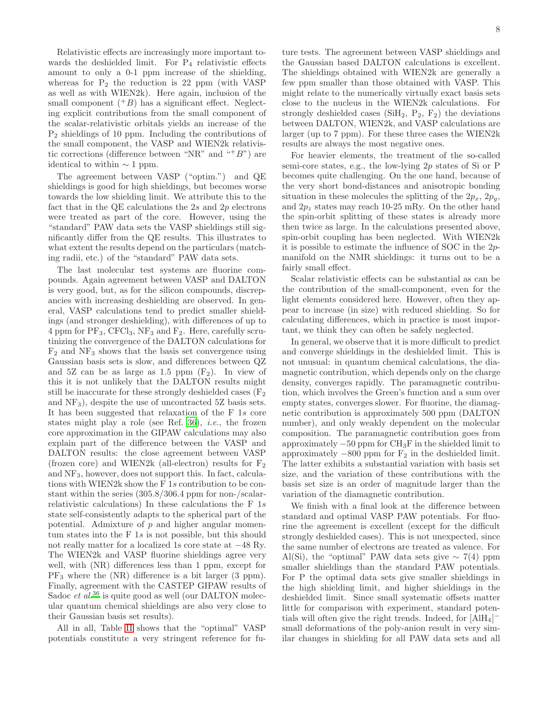Relativistic effects are increasingly more important towards the deshielded limit. For  $P_4$  relativistic effects amount to only a 0-1 ppm increase of the shielding, whereas for  $P_2$  the reduction is 22 ppm (with VASP) as well as with WIEN2k). Here again, inclusion of the small component  $(^+B)$  has a significant effect. Neglecting explicit contributions from the small component of the scalar-relativistic orbitals yields an increase of the P<sup>2</sup> shieldings of 10 ppm. Including the contributions of the small component, the VASP and WIEN2k relativistic corrections (difference between "NR" and " $B$ ") are identical to within  $\sim$  1 ppm.

The agreement between VASP ("optim.") and QE shieldings is good for high shieldings, but becomes worse towards the low shielding limit. We attribute this to the fact that in the QE calculations the  $2s$  and  $2p$  electrons were treated as part of the core. However, using the "standard" PAW data sets the VASP shieldings still significantly differ from the QE results. This illustrates to what extent the results depend on the particulars (matching radii, etc.) of the "standard" PAW data sets.

The last molecular test systems are fluorine compounds. Again agreement between VASP and DALTON is very good, but, as for the silicon compounds, discrepancies with increasing deshielding are observed. In general, VASP calculations tend to predict smaller shieldings (and stronger deshielding), with differences of up to 4 ppm for  $PF_3$ ,  $CFCl_3$ ,  $NF_3$  and  $F_2$ . Here, carefully scrutinizing the convergence of the DALTON calculations for  $F_2$  and  $NF_3$  shows that the basis set convergence using Gaussian basis sets is slow, and differences between QZ and 5Z can be as large as 1.5 ppm  $(F_2)$ . In view of this it is not unlikely that the DALTON results might still be inaccurate for these strongly deshielded cases  $(F_2)$ and  $NF_3$ , despite the use of uncontracted 5Z basis sets. It has been suggested that relaxation of the F 1s core states might play a role (see Ref. [36\)](#page-14-20), *i.e.*, the frozen core approximation in the GIPAW calculations may also explain part of the difference between the VASP and DALTON results: the close agreement between VASP (frozen core) and WIEN2k (all-electron) results for  $F_2$ and NF3, however, does not support this. In fact, calculations with WIEN2k show the F 1s contribution to be constant within the series (305.8/306.4 ppm for non-/scalarrelativistic calculations) In these calculations the F 1s state self-consistently adapts to the spherical part of the potential. Admixture of  $p$  and higher angular momentum states into the F 1s is not possible, but this should not really matter for a localized 1s core state at −48 Ry. The WIEN2k and VASP fluorine shieldings agree very well, with (NR) differences less than 1 ppm, except for PF<sup>3</sup> where the (NR) difference is a bit larger (3 ppm). Finally, agreement with the CASTEP GIPAW results of Sadoc *et al.*<sup>[36](#page-14-20)</sup> is quite good as well (our DALTON molecular quantum chemical shieldings are also very close to their Gaussian basis set results).

All in all, Table [II](#page-9-0) shows that the "optimal" VASP potentials constitute a very stringent reference for fu-

ture tests. The agreement between VASP shieldings and the Gaussian based DALTON calculations is excellent. The shieldings obtained with WIEN2k are generally a few ppm smaller than those obtained with VASP. This might relate to the numerically virtually exact basis sets close to the nucleus in the WIEN2k calculations. For strongly deshielded cases ( $SiH<sub>2</sub>$ ,  $P<sub>2</sub>$ ,  $F<sub>2</sub>$ ) the deviations between DALTON, WIEN2k, and VASP calculations are larger (up to 7 ppm). For these three cases the WIEN2k results are always the most negative ones.

For heavier elements, the treatment of the so-called semi-core states, e.g., the low-lying 2p states of Si or P becomes quite challenging. On the one hand, because of the very short bond-distances and anisotropic bonding situation in these molecules the splitting of the  $2p_x$ ,  $2p_y$ , and  $2p_z$  states may reach 10-25 mRy. On the other hand the spin-orbit splitting of these states is already more then twice as large. In the calculations presented above, spin-orbit coupling has been neglected. With WIEN2k it is possible to estimate the influence of SOC in the 2pmanifold on the NMR shieldings: it turns out to be a fairly small effect.

Scalar relativistic effects can be substantial as can be the contribution of the small-component, even for the light elements considered here. However, often they appear to increase (in size) with reduced shielding. So for calculating differences, which in practice is most important, we think they can often be safely neglected.

In general, we observe that it is more difficult to predict and converge shieldings in the deshielded limit. This is not unusual: in quantum chemical calculations, the diamagnetic contribution, which depends only on the charge density, converges rapidly. The paramagnetic contribution, which involves the Green's function and a sum over empty states, converges slower. For fluorine, the diamagnetic contribution is approximately 500 ppm (DALTON number), and only weakly dependent on the molecular composition. The paramagnetic contribution goes from approximately  $-50$  ppm for  $CH_3F$  in the shielded limit to approximately  $-800$  ppm for  $F_2$  in the deshielded limit. The latter exhibits a substantial variation with basis set size, and the variation of these contributions with the basis set size is an order of magnitude larger than the variation of the diamagnetic contribution.

We finish with a final look at the difference between standard and optimal VASP PAW potentials. For fluorine the agreement is excellent (except for the difficult strongly deshielded cases). This is not unexpected, since the same number of electrons are treated as valence. For Al(Si), the "optimal" PAW data sets give  $\sim$  7(4) ppm smaller shieldings than the standard PAW potentials. For P the optimal data sets give smaller shieldings in the high shielding limit, and higher shieldings in the deshielded limit. Since small systematic offsets matter little for comparison with experiment, standard potentials will often give the right trends. Indeed, for  $[AlH_4]^$ small deformations of the poly-anion result in very similar changes in shielding for all PAW data sets and all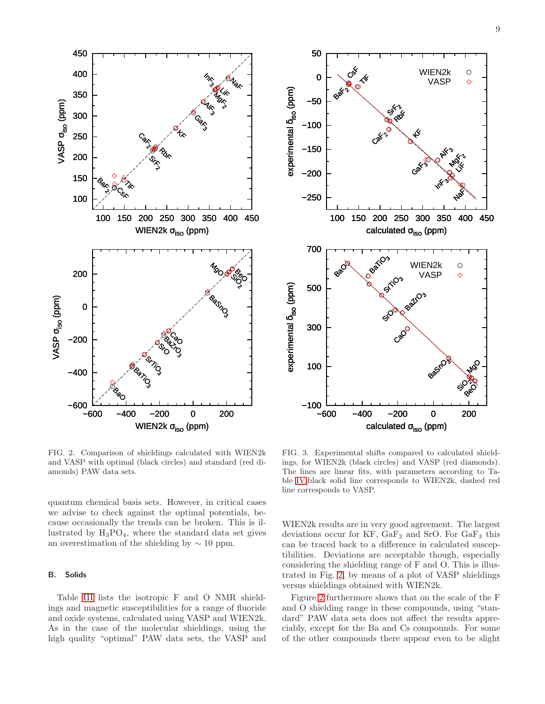



<span id="page-11-0"></span>FIG. 2. Comparison of shieldings calculated with WIEN2k and VASP with optimal (black circles) and standard (red diamonds) PAW data sets.

quantum chemical basis sets. However, in critical cases we advise to check against the optimal potentials, because occasionally the trends can be broken. This is illustrated by  $H_3PO_4$ , where the standard data set gives an overestimation of the shielding by  $\sim 10$  ppm.

### B. Solids

Table [III](#page-12-0) lists the isotropic F and O NMR shieldings and magnetic susceptibilities for a range of fluoride and oxide systems, calculated using VASP and WIEN2k. As in the case of the molecular shieldings, using the high quality "optimal" PAW data sets, the VASP and

<span id="page-11-1"></span>FIG. 3. Experimental shifts compared to calculated shieldings, for WIEN2k (black circles) and VASP (red diamonds). The lines are linear fits, with parameters according to Table [IV:](#page-13-0)black solid line corresponds to WIEN2k, dashed red line corresponds to VASP.

WIEN2k results are in very good agreement. The largest deviations occur for  $KF$ ,  $GaF_3$  and  $SrO$ . For  $GaF_3$  this can be traced back to a difference in calculated susceptibilities. Deviations are acceptable though, especially considering the shielding range of F and O. This is illustrated in Fig. [2,](#page-11-0) by means of a plot of VASP shieldings versus shieldings obtained with WIEN2k.

Figure [2](#page-11-0) furthermore shows that on the scale of the F and O shielding range in these compounds, using "standard" PAW data sets does not affect the results appreciably, except for the Ba and Cs compounds. For some of the other compounds there appear even to be slight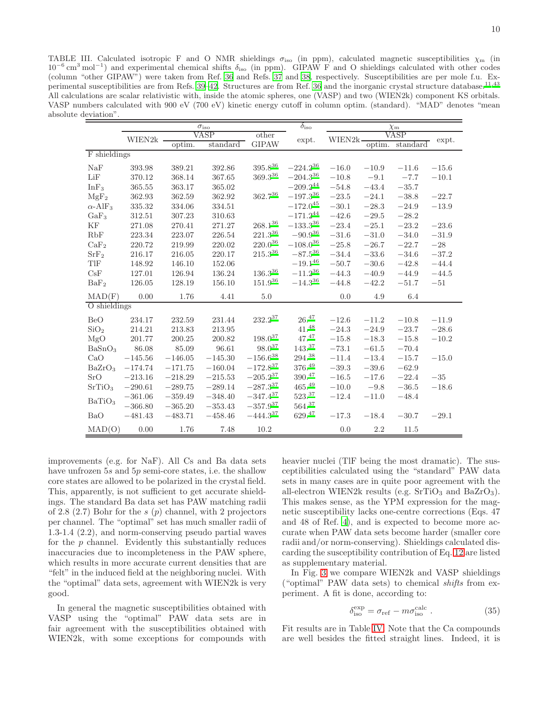<span id="page-12-0"></span>TABLE III. Calculated isotropic F and O NMR shieldings  $\sigma_{\text{iso}}$  (in ppm), calculated magnetic susceptibilities  $\chi_{\text{m}}$  (in 10<sup>-6</sup> cm<sup>3</sup> mol<sup>-1</sup>) and experimental chemical shifts δ<sub>iso</sub> (in ppm). GIPAW F and O shieldings calculated with other codes (column "other GIPAW") were taken from Ref. [36](#page-14-20) and Refs. [37](#page-14-21) and [38](#page-14-22), respectively. Susceptibilities are per mole f.u. Ex-perimental susceptibilities are from Refs. [39](#page-14-23)-42. Structures are from Ref. [36](#page-14-20) and the inorganic crystal structure database.<sup>[11](#page-14-25)[,43](#page-14-26)</sup> All calculations are scalar relativistic with, inside the atomic spheres, one (VASP) and two (WIEN2k) component KS orbitals. VASP numbers calculated with 900 eV (700 eV) kinetic energy cutoff in column optim. (standard). "MAD" denotes "mean absolute deviation".

|                            |           |           | $\sigma_{\rm iso}$ | $\delta_{\rm iso}$ |                   |         | $\chi_{\rm m}$ |          |         |
|----------------------------|-----------|-----------|--------------------|--------------------|-------------------|---------|----------------|----------|---------|
|                            | WIEN2k    |           | VASP               | other              | expt.             | WIEN2k  |                | VASP     | expt.   |
|                            |           | optim.    | standard           | <b>GIPAW</b>       |                   |         | optim.         | standard |         |
| F shieldings               |           |           |                    |                    |                   |         |                |          |         |
| NaF                        | 393.98    | 389.21    | 392.86             | $395.8^{\rm 36}$   | $-224.2^{36}$     | $-16.0$ | $-10.9$        | $-11.6$  | $-15.6$ |
| LiF                        | 370.12    | 368.14    | 367.65             | $369.3^{36}$       | $-204.3^{36}$     | $-10.8$ | $-9.1$         | $-7.7$   | $-10.1$ |
| InF <sub>3</sub>           | 365.55    | 363.17    | 365.02             |                    | $-209.2^{44}$     | $-54.8$ | $-43.4$        | $-35.7$  |         |
| MgF <sub>2</sub>           | 362.93    | 362.59    | 362.92             | $362.7^{36}$       | $-197.3^{36}\,$   | $-23.5$ | $-24.1$        | $-38.8$  | $-22.7$ |
| $\alpha$ -AlF <sub>3</sub> | 335.32    | 334.06    | 334.51             |                    | $-172.0^{45}$     | $-30.1$ | $-28.3$        | $-24.9$  | $-13.9$ |
| $GaF_3$                    | 312.51    | 307.23    | 310.63             |                    | $-171.2^{44}$     | $-42.6$ | $-29.5$        | $-28.2$  |         |
| KF                         | 271.08    | 270.41    | 271.27             | $268.1^{36}$       | $-133.3^{36}$     | $-23.4$ | $-25.1$        | $-23.2$  | $-23.6$ |
| RbF                        | 223.34    | 223.07    | 226.54             | $221.3^{36}$       | $-90.9^{36}$      | $-31.6$ | $-31.0$        | $-34.0$  | $-31.9$ |
| CaF <sub>2</sub>           | 220.72    | 219.99    | 220.02             | $220.0^{36}$       | $-108.0^{36}$     | $-25.8$ | $-26.7$        | $-22.7$  | $-28$   |
| SrF <sub>2</sub>           | 216.17    | 216.05    | 220.17             | $215.3^{36}$       | $-87.5^{36}$      | $-34.4$ | $-33.6$        | $-34.6$  | $-37.2$ |
| TlF                        | 148.92    | 146.10    | 152.06             |                    | $-19.1^{46}$      | $-50.7$ | $-30.6$        | $-42.8$  | $-44.4$ |
| CsF                        | 127.01    | 126.94    | 136.24             | $136.3^{36}$       | $-11.2^{36}$      | $-44.3$ | $-40.9$        | $-44.9$  | $-44.5$ |
| BaF <sub>2</sub>           | 126.05    | 128.19    | 156.10             | $151.9^{36}$       | $-14.3^{36}$      | $-44.8$ | $-42.2$        | $-51.7$  | $-51$   |
| MAD(F)                     | 0.00      | 1.76      | 4.41               | 5.0                |                   | 0.0     | 4.9            | 6.4      |         |
| O shieldings               |           |           |                    |                    |                   |         |                |          |         |
| <b>BeO</b>                 | 234.17    | 232.59    | 231.44             | $232.2^{37}$       | 26.47             | $-12.6$ | $-11.2$        | $-10.8$  | $-11.9$ |
| SiO <sub>2</sub>           | 214.21    | 213.83    | 213.95             |                    | 41. <sup>48</sup> | $-24.3$ | $-24.9$        | $-23.7$  | $-28.6$ |
| MgO                        | 201.77    | 200.25    | 200.82             | $198.0^{37}$       | 47.47             | $-15.8$ | $-18.3$        | $-15.8$  | $-10.2$ |
| BaSnO <sub>3</sub>         | 86.08     | 85.09     | 96.61              | $98.0^{37}$        | 143.37            | $-73.1$ | $-61.5$        | $-70.4$  |         |
| CaO                        | $-145.56$ | $-146.05$ | $-145.30$          | $-156.6^{38}\,$    | 294.38            | $-11.4$ | $-13.4$        | $-15.7$  | $-15.0$ |
| BaZrO <sub>3</sub>         | $-174.74$ | $-171.75$ | $-160.04$          | $-172.8^{37}$      | 376.49            | $-39.3$ | $-39.6$        | $-62.9$  |         |
| SrO                        | $-213.16$ | $-218.29$ | $-215.53$          | $-205.2^{37}$      | 390.47            | $-16.5$ | $-17.6$        | $-22.4$  | $-35$   |
| SrTiO <sub>3</sub>         | $-290.61$ | $-289.75$ | $-289.14$          | $-287.3^{37}$      | $465.^{49}$       | $-10.0$ | $-9.8$         | $-36.5$  | $-18.6$ |
|                            | $-361.06$ | $-359.49$ | $-348.40$          | $-347.4^{37}$      | 523.37            | $-12.4$ | $-11.0$        | $-48.4$  |         |
| BaTiO <sub>3</sub>         | $-366.80$ | $-365.20$ | $-353.43$          | $-357.9^{37}$      | 564.37            |         |                |          |         |
| <b>BaO</b>                 | $-481.43$ | $-483.71$ | $-458.46$          | $-444.3^{37}$      | $629.^{47}$       | $-17.3$ | $-18.4$        | $-30.7$  | $-29.1$ |
| MAD(O)                     | 0.00      | 1.76      | 7.48               | 10.2               |                   | 0.0     | 2.2            | 11.5     |         |

improvements (e.g. for NaF). All Cs and Ba data sets have unfrozen 5s and 5p semi-core states, i.e. the shallow core states are allowed to be polarized in the crystal field. This, apparently, is not sufficient to get accurate shieldings. The standard Ba data set has PAW matching radii of 2.8 (2.7) Bohr for the  $s(p)$  channel, with 2 projectors per channel. The "optimal" set has much smaller radii of 1.3-1.4 (2.2), and norm-conserving pseudo partial waves for the  $p$  channel. Evidently this substantially reduces inaccuracies due to incompleteness in the PAW sphere, which results in more accurate current densities that are "felt" in the induced field at the neighboring nuclei. With the "optimal" data sets, agreement with WIEN2k is very good.

In general the magnetic susceptibilities obtained with VASP using the "optimal" PAW data sets are in fair agreement with the susceptibilities obtained with WIEN2k, with some exceptions for compounds with

heavier nuclei (TlF being the most dramatic). The susceptibilities calculated using the "standard" PAW data sets in many cases are in quite poor agreement with the all-electron WIEN2k results (e.g.  $SrTiO<sub>3</sub>$  and  $BaZrO<sub>3</sub>$ ). This makes sense, as the YPM expression for the magnetic susceptibility lacks one-centre corrections (Eqs. 47 and 48 of Ref. [4](#page-13-4)), and is expected to become more accurate when PAW data sets become harder (smaller core radii and/or norm-conserving). Shieldings calculated discarding the susceptibility contribution of Eq. [12](#page-4-10) are listed as supplementary material.

In Fig. [3](#page-11-1) we compare WIEN2k and VASP shieldings ("optimal" PAW data sets) to chemical shifts from experiment. A fit is done, according to:

<span id="page-12-1"></span>
$$
\delta_{\text{iso}}^{\text{exp}} = \sigma_{\text{ref}} - m\sigma_{\text{iso}}^{\text{calc}} \,. \tag{35}
$$

Fit results are in Table [IV.](#page-13-0) Note that the Ca compounds are well besides the fitted straight lines. Indeed, it is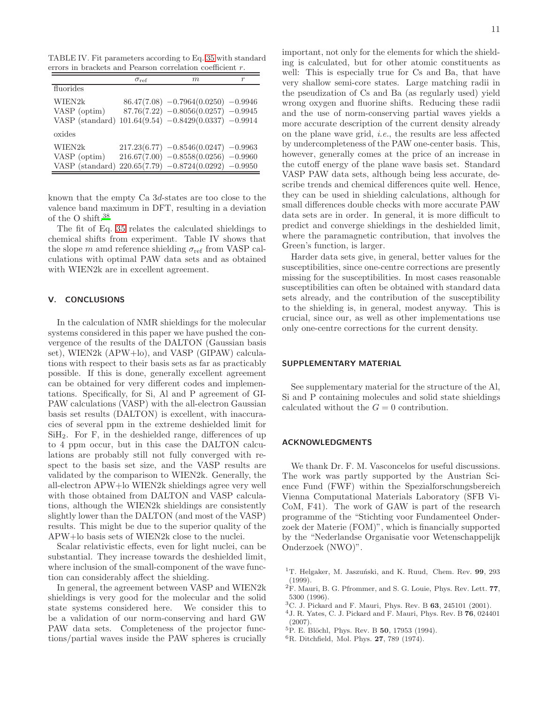TABLE IV. Fit parameters according to Eq. [35](#page-12-1) with standard errors in brackets and Pearson correlation coefficient r.

<span id="page-13-0"></span>

|                                           | $\sigma_{\rm ref}$ | m                                                                                                                          | r |
|-------------------------------------------|--------------------|----------------------------------------------------------------------------------------------------------------------------|---|
| fluorides                                 |                    |                                                                                                                            |   |
| WIEN2k<br>VASP (optim)<br>VASP (standard) |                    | $86.47(7.08) -0.7964(0.0250) -0.9946$<br>$87.76(7.22) -0.8056(0.0257) -0.9945$<br>$101.64(9.54) -0.8429(0.0337) -0.9914$   |   |
| oxides                                    |                    |                                                                                                                            |   |
| WIEN2k<br>VASP (optim)<br>VASP (standard) |                    | $217.23(6.77) -0.8546(0.0247) -0.9963$<br>$216.67(7.00) -0.8558(0.0256) -0.9960$<br>$220.65(7.79) -0.8724(0.0292) -0.9950$ |   |

known that the empty Ca 3d-states are too close to the valence band maximum in DFT, resulting in a deviation of the O shift.[38](#page-14-22)

The fit of Eq. [35](#page-12-1) relates the calculated shieldings to chemical shifts from experiment. Table IV shows that the slope m amd reference shielding  $\sigma_{ref}$  from VASP calculations with optimal PAW data sets and as obtained with WIEN2k are in excellent agreement.

### <span id="page-13-7"></span>V. CONCLUSIONS

In the calculation of NMR shieldings for the molecular systems considered in this paper we have pushed the convergence of the results of the DALTON (Gaussian basis set), WIEN2k (APW+lo), and VASP (GIPAW) calculations with respect to their basis sets as far as practicably possible. If this is done, generally excellent agreement can be obtained for very different codes and implementations. Specifically, for Si, Al and P agreement of GI-PAW calculations (VASP) with the all-electron Gaussian basis set results (DALTON) is excellent, with inaccuracies of several ppm in the extreme deshielded limit for SiH2. For F, in the deshielded range, differences of up to 4 ppm occur, but in this case the DALTON calculations are probably still not fully converged with respect to the basis set size, and the VASP results are validated by the comparison to WIEN2k. Generally, the all-electron APW+lo WIEN2k shieldings agree very well with those obtained from DALTON and VASP calculations, although the WIEN2k shieldings are consistently slightly lower than the DALTON (and most of the VASP) results. This might be due to the superior quality of the APW+lo basis sets of WIEN2k close to the nuclei.

Scalar relativistic effects, even for light nuclei, can be substantial. They increase towards the deshielded limit, where inclusion of the small-component of the wave function can considerably affect the shielding.

In general, the agreement between VASP and WIEN2k shieldings is very good for the molecular and the solid state systems considered here. We consider this to be a validation of our norm-conserving and hard GW PAW data sets. Completeness of the projector functions/partial waves inside the PAW spheres is crucially important, not only for the elements for which the shielding is calculated, but for other atomic constituents as well: This is especially true for Cs and Ba, that have very shallow semi-core states. Large matching radii in the pseudization of Cs and Ba (as regularly used) yield wrong oxygen and fluorine shifts. Reducing these radii and the use of norm-conserving partial waves yields a more accurate description of the current density already on the plane wave grid, i.e., the results are less affected by undercompleteness of the PAW one-center basis. This, however, generally comes at the price of an increase in the cutoff energy of the plane wave basis set. Standard VASP PAW data sets, although being less accurate, describe trends and chemical differences quite well. Hence, they can be used in shielding calculations, although for small differences double checks with more accurate PAW data sets are in order. In general, it is more difficult to predict and converge shieldings in the deshielded limit, where the paramagnetic contribution, that involves the Green's function, is larger.

Harder data sets give, in general, better values for the susceptibilities, since one-centre corrections are presently missing for the susceptibilities. In most cases reasonable susceptibilities can often be obtained with standard data sets already, and the contribution of the susceptibility to the shielding is, in general, modest anyway. This is crucial, since our, as well as other implementations use only one-centre corrections for the current density.

### SUPPLEMENTARY MATERIAL

See supplementary material for the structure of the Al, Si and P containing molecules and solid state shieldings calculated without the  $G = 0$  contribution.

### ACKNOWLEDGMENTS

We thank Dr. F. M. Vasconcelos for useful discussions. The work was partly supported by the Austrian Science Fund (FWF) within the Spezialforschungsbereich Vienna Computational Materials Laboratory (SFB Vi-CoM, F41). The work of GAW is part of the research programme of the "Stichting voor Fundamenteel Onderzoek der Materie (FOM)", which is financially supported by the "Nederlandse Organisatie voor Wetenschappelijk Onderzoek (NWO)".

- <span id="page-13-1"></span><sup>1</sup>T. Helgaker, M. Jaszuński, and K. Ruud, Chem. Rev.  $99, 293$ (1999).
- <span id="page-13-2"></span><sup>2</sup>F. Mauri, B. G. Pfrommer, and S. G. Louie, Phys. Rev. Lett. 77, 5300 (1996).
- <span id="page-13-3"></span><sup>3</sup>C. J. Pickard and F. Mauri, Phys. Rev. B 63, 245101 (2001).
- <span id="page-13-4"></span> $^{4}$  J. R. Yates, C. J. Pickard and F. Mauri, Phys. Rev. B  $\bf{76}, 024401$ (2007).
- <span id="page-13-5"></span> ${}^{5}P.$  E. Blöchl, Phys. Rev. B 50, 17953 (1994).
- <span id="page-13-6"></span><sup>6</sup>R. Ditchfield, Mol. Phys. 27, 789 (1974).